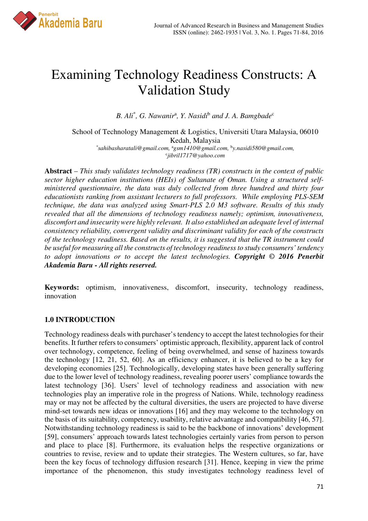

# Examining Technology Readiness Constructs: A Validation Study

B. Ali<sup>\*</sup>, G. Nawanir<sup>a</sup>, Y. Nasidi<sup>b</sup> and J. A. Bamgbade<sup>c</sup>

School of Technology Management & Logistics, Universiti Utara Malaysia, 06010 Kedah, Malaysia *\* sahibasharatali@gmail.com,* <sup>a</sup>*gsm1410@gmail.com,* <sup>b</sup> *y.nasidi580@gmail.com,*  c *jibril1717@yahoo.com*

**Abstract** – *This study validates technology readiness (TR) constructs in the context of public sector higher education institutions (HEIs) of Sultanate of Oman. Using a structured selfministered questionnaire, the data was duly collected from three hundred and thirty four educationists ranking from assistant lecturers to full professors. While employing PLS-SEM technique, the data was analyzed using Smart-PLS 2.0 M3 software. Results of this study revealed that all the dimensions of technology readiness namely; optimism, innovativeness, discomfort and insecurity were highly relevant. It also established an adequate level of internal consistency reliability, convergent validity and discriminant validity for each of the constructs of the technology readiness. Based on the results, it is suggested that the TR instrument could be useful for measuring all the constructs of technology readiness to study consumers' tendency to adopt innovations or to accept the latest technologies. Copyright © 2016 Penerbit Akademia Baru - All rights reserved.* 

**Keywords:** optimism, innovativeness, discomfort, insecurity, technology readiness, innovation

## **1.0 INTRODUCTION**

Technology readiness deals with purchaser's tendency to accept the latest technologies for their benefits. It further refers to consumers' optimistic approach, flexibility, apparent lack of control over technology, competence, feeling of being overwhelmed, and sense of haziness towards the technology [12, 21, 52, 60]. As an efficiency enhancer, it is believed to be a key for developing economies [25]. Technologically, developing states have been generally suffering due to the lower level of technology readiness, revealing poorer users' compliance towards the latest technology [36]. Users' level of technology readiness and association with new technologies play an imperative role in the progress of Nations. While, technology readiness may or may not be affected by the cultural diversities, the users are projected to have diverse mind-set towards new ideas or innovations [16] and they may welcome to the technology on the basis of its suitability, competency, usability, relative advantage and compatibility [46, 57]. Notwithstanding technology readiness is said to be the backbone of innovations' development [59], consumers' approach towards latest technologies certainly varies from person to person and place to place [8]. Furthermore, its evaluation helps the respective organizations or countries to revise, review and to update their strategies. The Western cultures, so far, have been the key focus of technology diffusion research [31]. Hence, keeping in view the prime importance of the phenomenon, this study investigates technology readiness level of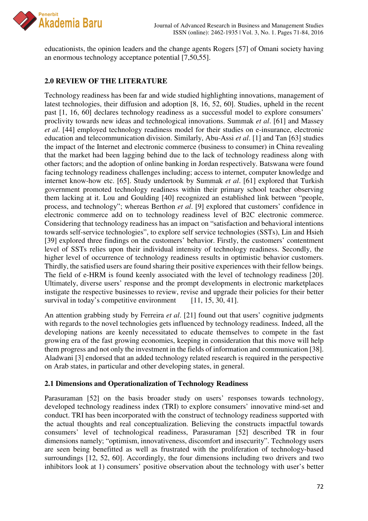

educationists, the opinion leaders and the change agents Rogers [57] of Omani society having an enormous technology acceptance potential [7,50,55].

## **2.0 REVIEW OF THE LITERATURE**

Technology readiness has been far and wide studied highlighting innovations, management of latest technologies, their diffusion and adoption [8, 16, 52, 60]. Studies, upheld in the recent past [1, 16, 60] declares technology readiness as a successful model to explore consumers' proclivity towards new ideas and technological innovations. Summak *et al*. [61] and Massey *et al*. [44] employed technology readiness model for their studies on e-insurance, electronic education and telecommunication division. Similarly, Abu-Assi *et al*. [1] and Tan [63] studies the impact of the Internet and electronic commerce (business to consumer) in China revealing that the market had been lagging behind due to the lack of technology readiness along with other factors; and the adoption of online banking in Jordan respectively. Batswana were found facing technology readiness challenges including; access to internet, computer knowledge and internet know-how etc. [65]. Study undertook by Summak *et al*. [61] explored that Turkish government promoted technology readiness within their primary school teacher observing them lacking at it. Lou and Goulding [40] recognized an established link between "people, process, and technology"; whereas Berthon *et al*. [9] explored that customers' confidence in electronic commerce add on to technology readiness level of B2C electronic commerce. Considering that technology readiness has an impact on "satisfaction and behavioral intentions towards self-service technologies", to explore self service technologies (SSTs), Lin and Hsieh [39] explored three findings on the customers' behavior. Firstly, the customers' contentment level of SSTs relies upon their individual intensity of technology readiness. Secondly, the higher level of occurrence of technology readiness results in optimistic behavior customers. Thirdly, the satisfied users are found sharing their positive experiences with their fellow beings. The field of e-HRM is found keenly associated with the level of technology readiness [20]. Ultimately, diverse users' response and the prompt developments in electronic marketplaces instigate the respective businesses to review, revise and upgrade their policies for their better survival in today's competitive environment [11, 15, 30, 41].

An attention grabbing study by Ferreira *et al*. [21] found out that users' cognitive judgments with regards to the novel technologies gets influenced by technology readiness. Indeed, all the developing nations are keenly necessitated to educate themselves to compete in the fast growing era of the fast growing economies, keeping in consideration that this move will help them progress and not only the investment in the fields of information and communication [38]. Aladwani [3] endorsed that an added technology related research is required in the perspective on Arab states, in particular and other developing states, in general.

#### **2.1 Dimensions and Operationalization of Technology Readiness**

Parasuraman [52] on the basis broader study on users' responses towards technology, developed technology readiness index (TRI) to explore consumers' innovative mind-set and conduct. TRI has been incorporated with the construct of technology readiness supported with the actual thoughts and real conceptualization. Believing the constructs impactful towards consumers' level of technological readiness, Parasuraman [52] described TR in four dimensions namely; "optimism, innovativeness, discomfort and insecurity". Technology users are seen being benefitted as well as frustrated with the proliferation of technology-based surroundings [12, 52, 60]. Accordingly, the four dimensions including two drivers and two inhibitors look at 1) consumers' positive observation about the technology with user's better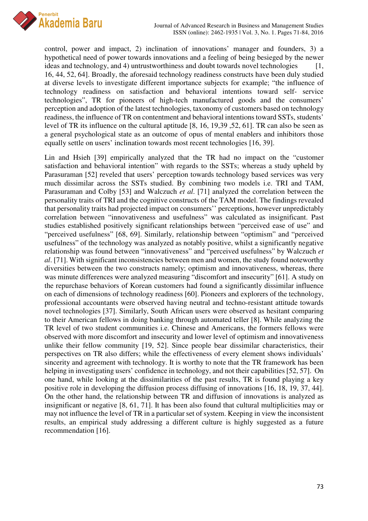

control, power and impact, 2) inclination of innovations' manager and founders, 3) a hypothetical need of power towards innovations and a feeling of being besieged by the newer ideas and technology, and 4) untrustworthiness and doubt towards novel technologies  $[1,$ 16, 44, 52, 64]. Broadly, the aforesaid technology readiness constructs have been duly studied at diverse levels to investigate different importance subjects for example; "the influence of technology readiness on satisfaction and behavioral intentions toward self- service technologies", TR for pioneers of high-tech manufactured goods and the consumers' perception and adoption of the latest technologies, taxonomy of customers based on technology readiness, the influence of TR on contentment and behavioral intentions toward SSTs, students' level of TR its influence on the cultural aptitude [8, 16, 19,39 ,52, 61]. TR can also be seen as a general psychological state as an outcome of opus of mental enablers and inhibitors those equally settle on users' inclination towards most recent technologies [16, 39].

Lin and Hsieh [39] empirically analyzed that the TR had no impact on the "customer satisfaction and behavioral intention" with regards to the SSTs; whereas a study upheld by Parasuraman [52] reveled that users' perception towards technology based services was very much dissimilar across the SSTs studied. By combining two models i.e. TRI and TAM, Parasuraman and Colby [53] and Walczuch *et al*. [71] analyzed the correlation between the personality traits of TRI and the cognitive constructs of the TAM model. The findings revealed that personality traits had projected impact on consumers'' perceptions, however unpredictably correlation between "innovativeness and usefulness" was calculated as insignificant. Past studies established positively significant relationships between "perceived ease of use" and "perceived usefulness" [68, 69]. Similarly, relationship between "optimism" and "perceived usefulness" of the technology was analyzed as notably positive, whilst a significantly negative relationship was found between "innovativeness" and "perceived usefulness" by Walczuch *et al*. [71]. With significant inconsistencies between men and women, the study found noteworthy diversities between the two constructs namely; optimism and innovativeness, whereas, there was minute differences were analyzed measuring "discomfort and insecurity" [61]. A study on the repurchase behaviors of Korean customers had found a significantly dissimilar influence on each of dimensions of technology readiness [60]. Pioneers and explorers of the technology, professional accountants were observed having neutral and techno-resistant attitude towards novel technologies [37]. Similarly, South African users were observed as hesitant comparing to their American fellows in doing banking through automated teller [8]. While analyzing the TR level of two student communities i.e. Chinese and Americans, the formers fellows were observed with more discomfort and insecurity and lower level of optimism and innovativeness unlike their fellow community [19, 52]. Since people bear dissimilar characteristics, their perspectives on TR also differs; while the effectiveness of every element shows individuals' sincerity and agreement with technology. It is worthy to note that the TR framework has been helping in investigating users' confidence in technology, and not their capabilities [52, 57]. On one hand, while looking at the dissimilarities of the past results, TR is found playing a key positive role in developing the diffusion process diffusing of innovations [16, 18, 19, 37, 44]. On the other hand, the relationship between TR and diffusion of innovations is analyzed as insignificant or negative [8, 61, 71]. It has been also found that cultural multiplicities may or may not influence the level of TR in a particular set of system. Keeping in view the inconsistent results, an empirical study addressing a different culture is highly suggested as a future recommendation [16].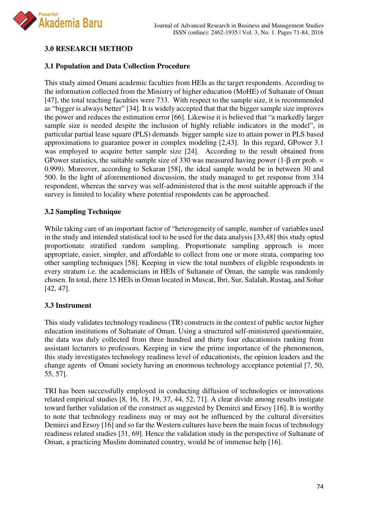

# **3.0 RESEARCH METHOD**

#### **3.1 Population and Data Collection Procedure**

This study aimed Omani academic faculties from HEIs as the target respondents. According to the information collected from the Ministry of higher education (MoHE) of Sultanate of Oman [47], the total teaching faculties were 733. With respect to the sample size, it is recommended as "bigger is always better" [34]. It is widely accepted that that the bigger sample size improves the power and reduces the estimation error [66]. Likewise it is believed that "a markedly larger sample size is needed despite the inclusion of highly reliable indicators in the model", in particular partial lease square (PLS) demands bigger sample size to attain power in PLS based approximations to guarantee power in complex modeling [2,43]. In this regard, GPower 3.1 was employed to acquire better sample size [24]. According to the result obtained from GPower statistics, the suitable sample size of 330 was measured having power (1- $\beta$  err prob. = 0.999). Moreover, according to Sekaran [58], the ideal sample would be in between 30 and 500. In the light of aforementioned discussion, the study managed to get response from 334 respondent, whereas the survey was self-administered that is the most suitable approach if the survey is limited to locality where potential respondents can be approached.

#### **3.2 Sampling Technique**

While taking care of an important factor of "heterogeneity of sample, number of variables used in the study and intended statistical tool to be used for the data analysis [33,48] this study opted proportionate stratified random sampling. Proportionate sampling approach is more appropriate, easier, simpler, and affordable to collect from one or more strata, comparing too other sampling techniques [58]. Keeping in view the total numbers of eligible respondents in every stratum i.e. the academicians in HEIs of Sultanate of Oman, the sample was randomly chosen. In total, there 15 HEIs in Oman located in Muscat, Ibri, Sur, Salalah, Rustaq, and Sohar [42, 47].

#### **3.3 Instrument**

This study validates technology readiness (TR) constructs in the context of public sector higher education institutions of Sultanate of Oman. Using a structured self-ministered questionnaire, the data was duly collected from three hundred and thirty four educationists ranking from assistant lecturers to professors. Keeping in view the prime importance of the phenomenon, this study investigates technology readiness level of educationists, the opinion leaders and the change agents of Omani society having an enormous technology acceptance potential [7, 50, 55, 57].

TRI has been successfully employed in conducting diffusion of technologies or innovations related empirical studies [8, 16, 18, 19, 37, 44, 52, 71]. A clear divide among results instigate toward further validation of the construct as suggested by Demirci and Ersoy [16]. It is worthy to note that technology readiness may or may not be influenced by the cultural diversities Demirci and Ersoy [16] and so far the Western cultures have been the main focus of technology readiness related studies [31, 69]. Hence the validation study in the perspective of Sultanate of Oman, a practicing Muslim dominated country, would be of immense help [16].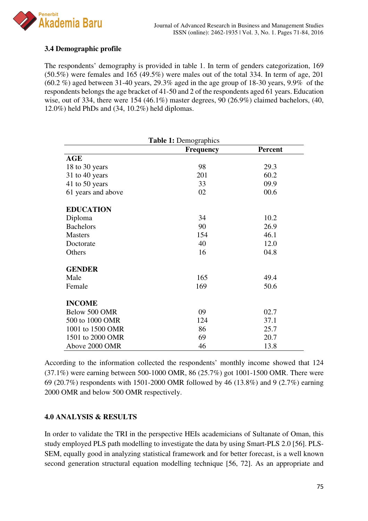

# **3.4 Demographic profile**

The respondents' demography is provided in table 1. In term of genders categorization, 169 (50.5%) were females and 165 (49.5%) were males out of the total 334. In term of age, 201  $(60.2\%)$  aged between 31-40 years, 29.3% aged in the age group of 18-30 years, 9.9% of the respondents belongs the age bracket of 41-50 and 2 of the respondents aged 61 years. Education wise, out of 334, there were 154 (46.1%) master degrees, 90 (26.9%) claimed bachelors, (40, 12.0%) held PhDs and (34, 10.2%) held diplomas.

| <b>Table 1: Demographics</b> |                  |                |  |  |  |
|------------------------------|------------------|----------------|--|--|--|
|                              | <b>Frequency</b> | <b>Percent</b> |  |  |  |
| <b>AGE</b>                   |                  |                |  |  |  |
| 18 to 30 years               | 98               | 29.3           |  |  |  |
| 31 to 40 years               | 201              | 60.2           |  |  |  |
| 41 to 50 years               | 33               | 09.9           |  |  |  |
| 61 years and above           | 02               | 00.6           |  |  |  |
| <b>EDUCATION</b>             |                  |                |  |  |  |
| Diploma                      | 34               | 10.2           |  |  |  |
| <b>Bachelors</b>             | 90               | 26.9           |  |  |  |
| <b>Masters</b>               | 154              | 46.1           |  |  |  |
| Doctorate                    | 40               | 12.0           |  |  |  |
| Others                       | 16               | 04.8           |  |  |  |
| <b>GENDER</b>                |                  |                |  |  |  |
| Male                         | 165              | 49.4           |  |  |  |
| Female                       | 169              | 50.6           |  |  |  |
| <b>INCOME</b>                |                  |                |  |  |  |
| Below 500 OMR                | 09               | 02.7           |  |  |  |
| 500 to 1000 OMR              | 124              | 37.1           |  |  |  |
| 1001 to 1500 OMR             | 86               | 25.7           |  |  |  |
| 1501 to 2000 OMR             | 69               | 20.7           |  |  |  |
| Above 2000 OMR               | 46               | 13.8           |  |  |  |

According to the information collected the respondents' monthly income showed that 124 (37.1%) were earning between 500-1000 OMR, 86 (25.7%) got 1001-1500 OMR. There were 69 (20.7%) respondents with 1501-2000 OMR followed by 46 (13.8%) and 9 (2.7%) earning 2000 OMR and below 500 OMR respectively.

#### **4.0 ANALYSIS & RESULTS**

In order to validate the TRI in the perspective HEIs academicians of Sultanate of Oman, this study employed PLS path modelling to investigate the data by using Smart-PLS 2.0 [56]. PLS-SEM, equally good in analyzing statistical framework and for better forecast, is a well known second generation structural equation modelling technique [56, 72]. As an appropriate and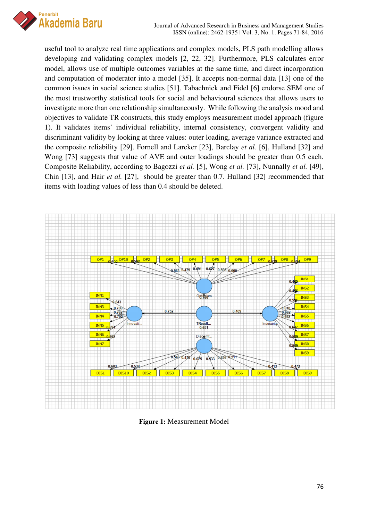

useful tool to analyze real time applications and complex models, PLS path modelling allows developing and validating complex models [2, 22, 32]. Furthermore, PLS calculates error model, allows use of multiple outcomes variables at the same time, and direct incorporation and computation of moderator into a model [35]. It accepts non-normal data [13] one of the common issues in social science studies [51]. Tabachnick and Fidel [6] endorse SEM one of the most trustworthy statistical tools for social and behavioural sciences that allows users to investigate more than one relationship simultaneously. While following the analysis mood and objectives to validate TR constructs, this study employs measurement model approach (figure 1). It validates items' individual reliability, internal consistency, convergent validity and discriminant validity by looking at three values: outer loading, average variance extracted and the composite reliability [29]. Fornell and Larcker [23], Barclay *et al.* [6], Hulland [32] and Wong [73] suggests that value of AVE and outer loadings should be greater than 0.5 each. Composite Reliability, according to Bagozzi *et al.* [5], Wong *et al.* [73], Nunnally *et al.* [49], Chin [13], and Hair *et al.* [27], should be greater than 0.7. Hulland [32] recommended that items with loading values of less than 0.4 should be deleted.



**Figure 1:** Measurement Model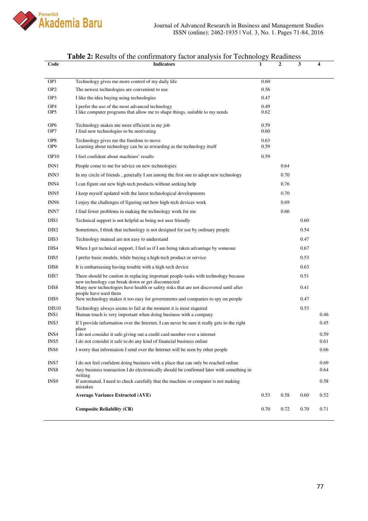

| Code                               | <b>Indicators</b>                                                                                                                                                   | 1            | $\overline{2}$ | 3    | 4    |
|------------------------------------|---------------------------------------------------------------------------------------------------------------------------------------------------------------------|--------------|----------------|------|------|
|                                    |                                                                                                                                                                     |              |                |      |      |
| OP1                                | Technology gives me more control of my daily life                                                                                                                   | 0.60         |                |      |      |
| OP <sub>2</sub>                    | The newest technologies are convenient to use                                                                                                                       | 0.56         |                |      |      |
| OP3                                | I like the idea buying using technologies                                                                                                                           | 0.47         |                |      |      |
| OP <sub>4</sub><br>OP <sub>5</sub> | I prefer the use of the most advanced technology<br>I like computer programs that allow me to shape things, suitable to my needs                                    | 0.49<br>0.62 |                |      |      |
| OP <sub>6</sub><br>OP7             | Technology makes me more efficient in my job<br>I find new technologies to be motivating                                                                            | 0.59<br>0.60 |                |      |      |
| OP8<br>OP <sub>9</sub>             | Technology gives me the freedom to move<br>Learning about technology can be as rewarding as the technology itself                                                   | 0.63<br>0.59 |                |      |      |
| OP <sub>10</sub>                   | I feel confident about machines' results                                                                                                                            | 0.59         |                |      |      |
| INN1                               | People come to me for advice on new technologies                                                                                                                    |              | 0.64           |      |      |
| INN3                               | In my circle of friends, generally I am among the first one to adopt new technology                                                                                 |              | 0.70           |      |      |
| INN4                               | I can figure out new high-tech products without seeking help                                                                                                        |              | 0.76           |      |      |
| INN <sub>5</sub>                   | I keep myself updated with the latest technological developments                                                                                                    |              | 0.70           |      |      |
| INN <sub>6</sub>                   | I enjoy the challenges of figuring out how high-tech devices work                                                                                                   |              | 0.69           |      |      |
| INN7                               | I find fewer problems in making the technology work for me                                                                                                          |              | 0.66           |      |      |
| DIS1                               | Technical support is not helpful as being not user friendly                                                                                                         |              |                | 0.60 |      |
| DIS <sub>2</sub>                   | Sometimes, I think that technology is not designed for use by ordinary people                                                                                       |              |                | 0.54 |      |
| DIS3                               | Technology manual are not easy to understand                                                                                                                        |              |                | 0.47 |      |
| DIS4                               | When I get technical support, I feel as if I am being taken advantage by someone                                                                                    |              |                | 0.67 |      |
| DIS5                               | I prefer basic models, while buying a high-tech product or service                                                                                                  |              |                | 0.53 |      |
| DIS <sub>6</sub>                   | It is embarrassing having trouble with a high-tech device                                                                                                           |              |                | 0.63 |      |
| DIS7                               | There should be caution in replacing important people-tasks with technology because                                                                                 |              |                | 0.51 |      |
| DIS <sub>8</sub>                   | new technology can break down or get disconnected<br>Many new technologies have health or safety risks that are not discovered until after<br>people have used them |              |                | 0.41 |      |
| DIS9                               | New technology makes it too easy for governments and companies to spy on people                                                                                     |              |                | 0.47 |      |
| DIS10                              | Technology always seems to fail at the moment it is most required                                                                                                   |              |                | 0.53 |      |
| INS <sub>1</sub>                   | Human touch is very important when doing business with a company                                                                                                    |              |                |      | 0.46 |
| INS3                               | If I provide information over the Internet, I can never be sure it really gets to the right<br>place                                                                |              |                |      | 0.45 |
| INS4                               | I do not consider it safe giving out a credit card number over a internet                                                                                           |              |                |      | 0.59 |
| INS5                               | I do not consider it safe to do any kind of financial business online                                                                                               |              |                |      | 0.61 |
| INS <sub>6</sub>                   | I worry that information I send over the Internet will be seen by other people                                                                                      |              |                |      | 0.66 |
| INS7                               | I do not feel confident doing business with a place that can only be reached online                                                                                 |              |                |      | 0.69 |
| INS8                               | Any business transaction I do electronically should be confirmed later with something in                                                                            |              |                |      | 0.64 |
| INS9                               | writing<br>If automated, I need to check carefully that the machine or computer is not making<br>mistakes                                                           |              |                |      | 0.58 |
|                                    | <b>Average Variance Extracted (AVE)</b>                                                                                                                             | 0.53         | 0.58           | 0.60 | 0.52 |
|                                    | <b>Composite Reliability (CR)</b>                                                                                                                                   | 0.70         | 0.72           | 0.70 | 0.71 |

#### **Table 2:** Results of the confirmatory factor analysis for Technology Readiness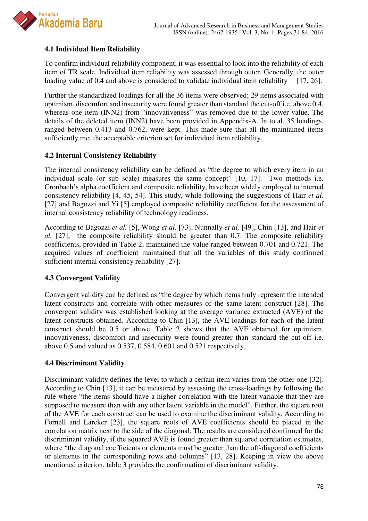

# **4.1 Individual Item Reliability**

To confirm individual reliability component, it was essential to look into the reliability of each item of TR scale. Individual item reliability was assessed through outer. Generally, the outer loading value of 0.4 and above is considered to validate individual item reliability [17, 26].

Further the standardized loadings for all the 36 items were observed; 29 items associated with optimism, discomfort and insecurity were found greater than standard the cut-off i.e. above 0.4, whereas one item (INN2) from "innovativeness" was removed due to the lower value. The details of the deleted item (INN2) have been provided in Appendix-A. In total, 35 loadings, ranged between 0.413 and 0.762, were kept. This made sure that all the maintained items sufficiently met the acceptable criterion set for individual item reliability.

#### **4.2 Internal Consistency Reliability**

The internal consistency reliability can be defined as "the degree to which every item in an individual scale (or sub scale) measures the same concept" [10, 17]. Two methods i.e. Cronbach's alpha coefficient and composite reliability, have been widely employed to internal consistency reliability [4, 45, 54]. This study, while following the suggestions of Hair *et al.* [27] and Bagozzi and Yi [5] employed composite reliability coefficient for the assessment of internal consistency reliability of technology readiness.

According to Bagozzi *et al.* [5], Wong *et al.* [73], Nunnally *et al.* [49], Chin [13], and Hair *et al.* [27], the composite reliability should be greater than 0.7. The composite reliability coefficients, provided in Table 2, maintained the value ranged between 0.701 and 0.721. The acquired values of coefficient maintained that all the variables of this study confirmed sufficient internal consistency reliability [27].

## **4.3 Convergent Validity**

Convergent validity can be defined as "the degree by which items truly represent the intended latent constructs and correlate with other measures of the same latent construct [28]. The convergent validity was established looking at the average variance extracted (AVE) of the latent constructs obtained. According to Chin [13], the AVE loadings for each of the latent construct should be 0.5 or above. Table 2 shows that the AVE obtained for optimism, innovativeness, discomfort and insecurity were found greater than standard the cut-off i.e. above 0.5 and valued as 0.537, 0.584, 0.601 and 0.521 respectively.

## **4.4 Discriminant Validity**

Discriminant validity defines the level to which a certain item varies from the other one [32]. According to Chin [13], it can be measured by assessing the cross-loadings by following the rule where "the items should have a higher correlation with the latent variable that they are supposed to measure than with any other latent variable in the model". Further, the square root of the AVE for each construct can be used to examine the discriminant validity. According to Fornell and Larcker [23], the square roots of AVE coefficients should be placed in the correlation matrix next to the side of the diagonal. The results are considered confirmed for the discriminant validity, if the squared AVE is found greater than squared correlation estimates, where "the diagonal coefficients or elements must be greater than the off-diagonal coefficients or elements in the corresponding rows and columns" [13, 28]. Keeping in view the above mentioned criterion, table 3 provides the confirmation of discriminant validity.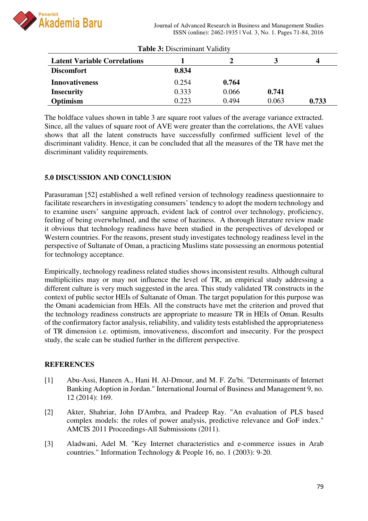

| <b>Table 3: Discriminant Validity</b> |       |       |       |       |  |  |  |
|---------------------------------------|-------|-------|-------|-------|--|--|--|
| <b>Latent Variable Correlations</b>   |       |       |       | 4     |  |  |  |
| <b>Discomfort</b>                     | 0.834 |       |       |       |  |  |  |
| <b>Innovativeness</b>                 | 0.254 | 0.764 |       |       |  |  |  |
| <b>Insecurity</b>                     | 0.333 | 0.066 | 0.741 |       |  |  |  |
| Optimism                              | 0.223 | 0.494 | 0.063 | 0.733 |  |  |  |

The boldface values shown in table 3 are square root values of the average variance extracted. Since, all the values of square root of AVE were greater than the correlations, the AVE values shows that all the latent constructs have successfully confirmed sufficient level of the discriminant validity. Hence, it can be concluded that all the measures of the TR have met the discriminant validity requirements.

#### **5.0 DISCUSSION AND CONCLUSION**

Parasuraman [52] established a well refined version of technology readiness questionnaire to facilitate researchers in investigating consumers' tendency to adopt the modern technology and to examine users' sanguine approach, evident lack of control over technology, proficiency, feeling of being overwhelmed, and the sense of haziness. A thorough literature review made it obvious that technology readiness have been studied in the perspectives of developed or Western countries. For the reasons, present study investigates technology readiness level in the perspective of Sultanate of Oman, a practicing Muslims state possessing an enormous potential for technology acceptance.

Empirically, technology readiness related studies shows inconsistent results. Although cultural multiplicities may or may not influence the level of TR, an empirical study addressing a different culture is very much suggested in the area. This study validated TR constructs in the context of public sector HEIs of Sultanate of Oman. The target population for this purpose was the Omani academician from HEIs. All the constructs have met the criterion and proved that the technology readiness constructs are appropriate to measure TR in HEIs of Oman. Results of the confirmatory factor analysis, reliability, and validity tests established the appropriateness of TR dimension i.e. optimism, innovativeness, discomfort and insecurity. For the prospect study, the scale can be studied further in the different perspective.

#### **REFERENCES**

- [1] Abu-Assi, Haneen A., Hani H. Al-Dmour, and M. F. Zu'bi. "Determinants of Internet Banking Adoption in Jordan." International Journal of Business and Management 9, no. 12 (2014): 169.
- [2] Akter, Shahriar, John D'Ambra, and Pradeep Ray. "An evaluation of PLS based complex models: the roles of power analysis, predictive relevance and GoF index." AMCIS 2011 Proceedings-All Submissions (2011).
- [3] Aladwani, Adel M. "Key Internet characteristics and e-commerce issues in Arab countries." Information Technology & People 16, no. 1 (2003): 9-20.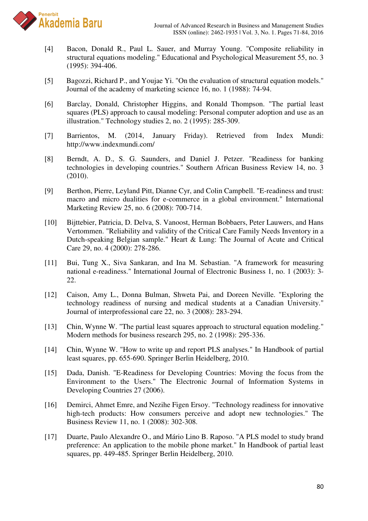

- [4] Bacon, Donald R., Paul L. Sauer, and Murray Young. "Composite reliability in structural equations modeling." Educational and Psychological Measurement 55, no. 3 (1995): 394-406.
- [5] Bagozzi, Richard P., and Youjae Yi. "On the evaluation of structural equation models." Journal of the academy of marketing science 16, no. 1 (1988): 74-94.
- [6] Barclay, Donald, Christopher Higgins, and Ronald Thompson. "The partial least squares (PLS) approach to causal modeling: Personal computer adoption and use as an illustration." Technology studies 2, no. 2 (1995): 285-309.
- [7] Barrientos, M. (2014, January Friday). Retrieved from Index Mundi: http://www.indexmundi.com/
- [8] Berndt, A. D., S. G. Saunders, and Daniel J. Petzer. "Readiness for banking technologies in developing countries." Southern African Business Review 14, no. 3 (2010).
- [9] Berthon, Pierre, Leyland Pitt, Dianne Cyr, and Colin Campbell. "E-readiness and trust: macro and micro dualities for e-commerce in a global environment." International Marketing Review 25, no. 6 (2008): 700-714.
- [10] Bijttebier, Patricia, D. Delva, S. Vanoost, Herman Bobbaers, Peter Lauwers, and Hans Vertommen. "Reliability and validity of the Critical Care Family Needs Inventory in a Dutch-speaking Belgian sample." Heart & Lung: The Journal of Acute and Critical Care 29, no. 4 (2000): 278-286.
- [11] Bui, Tung X., Siva Sankaran, and Ina M. Sebastian. "A framework for measuring national e-readiness." International Journal of Electronic Business 1, no. 1 (2003): 3- 22.
- [12] Caison, Amy L., Donna Bulman, Shweta Pai, and Doreen Neville. "Exploring the technology readiness of nursing and medical students at a Canadian University." Journal of interprofessional care 22, no. 3 (2008): 283-294.
- [13] Chin, Wynne W. "The partial least squares approach to structural equation modeling." Modern methods for business research 295, no. 2 (1998): 295-336.
- [14] Chin, Wynne W. "How to write up and report PLS analyses." In Handbook of partial least squares, pp. 655-690. Springer Berlin Heidelberg, 2010.
- [15] Dada, Danish. "E-Readiness for Developing Countries: Moving the focus from the Environment to the Users." The Electronic Journal of Information Systems in Developing Countries 27 (2006).
- [16] Demirci, Ahmet Emre, and Nezihe Figen Ersoy. "Technology readiness for innovative high-tech products: How consumers perceive and adopt new technologies." The Business Review 11, no. 1 (2008): 302-308.
- [17] Duarte, Paulo Alexandre O., and Mário Lino B. Raposo. "A PLS model to study brand preference: An application to the mobile phone market." In Handbook of partial least squares, pp. 449-485. Springer Berlin Heidelberg, 2010.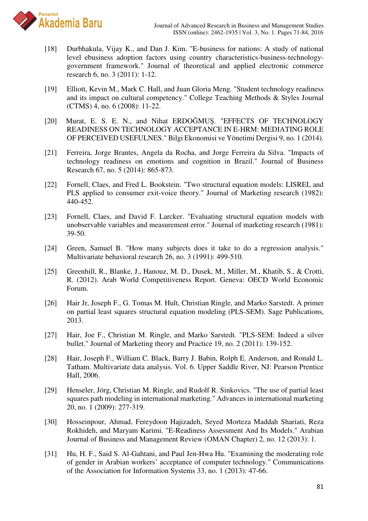

- [18] Durbhakula, Vijay K., and Dan J. Kim. "E-business for nations: A study of national level ebusiness adoption factors using country characteristics-business-technologygovernment framework." Journal of theoretical and applied electronic commerce research 6, no. 3 (2011): 1-12.
- [19] Elliott, Kevin M., Mark C. Hall, and Juan Gloria Meng. "Student technology readiness and its impact on cultural competency." College Teaching Methods & Styles Journal (CTMS) 4, no. 6 (2008): 11-22.
- [20] Murat, E. S. E. N., and Nihat ERDOĞMUŞ. "EFFECTS OF TECHNOLOGY READINESS ON TECHNOLOGY ACCEPTANCE IN E-HRM: MEDIATING ROLE OF PERCEIVED USEFULNES." Bilgi Ekonomisi ve Yönetimi Dergisi 9, no. 1 (2014).
- [21] Ferreira, Jorge Brantes, Angela da Rocha, and Jorge Ferreira da Silva. "Impacts of technology readiness on emotions and cognition in Brazil." Journal of Business Research 67, no. 5 (2014): 865-873.
- [22] Fornell, Claes, and Fred L. Bookstein. "Two structural equation models: LISREL and PLS applied to consumer exit-voice theory." Journal of Marketing research (1982): 440-452.
- [23] Fornell, Claes, and David F. Larcker. "Evaluating structural equation models with unobservable variables and measurement error." Journal of marketing research (1981): 39-50.
- [24] Green, Samuel B. "How many subjects does it take to do a regression analysis." Multivariate behavioral research 26, no. 3 (1991): 499-510.
- [25] Greenhill, R., Blanke, J., Hanouz, M. D., Dusek, M., Miller, M., Khatib, S., & Crotti, R. (2012). Arab World Competitiveness Report. Geneva: OECD World Economic Forum.
- [26] Hair Jr, Joseph F., G. Tomas M. Hult, Christian Ringle, and Marko Sarstedt. A primer on partial least squares structural equation modeling (PLS-SEM). Sage Publications, 2013.
- [27] Hair, Joe F., Christian M. Ringle, and Marko Sarstedt. "PLS-SEM: Indeed a silver bullet." Journal of Marketing theory and Practice 19, no. 2 (2011): 139-152.
- [28] Hair, Joseph F., William C. Black, Barry J. Babin, Rolph E. Anderson, and Ronald L. Tatham. Multivariate data analysis. Vol. 6. Upper Saddle River, NJ: Pearson Prentice Hall, 2006.
- [29] Henseler, Jörg, Christian M. Ringle, and Rudolf R. Sinkovics. "The use of partial least squares path modeling in international marketing." Advances in international marketing 20, no. 1 (2009): 277-319.
- [30] Hosseinpour, Ahmad, Fereydoon Hajizadeh, Seyed Morteza Maddah Shariati, Reza Rokhideh, and Maryam Karimi. "E-Readiness Assessment And Its Models." Arabian Journal of Business and Management Review (OMAN Chapter) 2, no. 12 (2013): 1.
- [31] Hu, H. F., Said S. Al-Gahtani, and Paul Jen-Hwa Hu. "Examining the moderating role of gender in Arabian workers' acceptance of computer technology." Communications of the Association for Information Systems 33, no. 1 (2013): 47-66.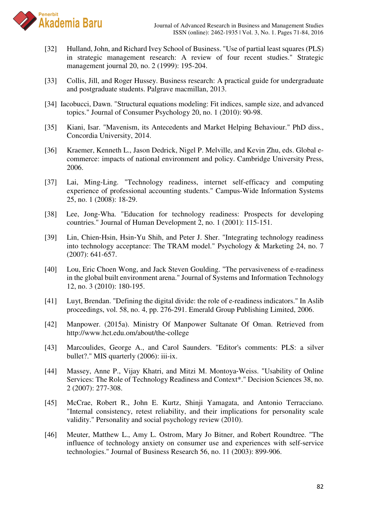

- [32] Hulland, John, and Richard Ivey School of Business. "Use of partial least squares (PLS) in strategic management research: A review of four recent studies." Strategic management journal 20, no. 2 (1999): 195-204.
- [33] Collis, Jill, and Roger Hussey. Business research: A practical guide for undergraduate and postgraduate students. Palgrave macmillan, 2013.
- [34] Iacobucci, Dawn. "Structural equations modeling: Fit indices, sample size, and advanced topics." Journal of Consumer Psychology 20, no. 1 (2010): 90-98.
- [35] Kiani, Isar. "Mavenism, its Antecedents and Market Helping Behaviour." PhD diss., Concordia University, 2014.
- [36] Kraemer, Kenneth L., Jason Dedrick, Nigel P. Melville, and Kevin Zhu, eds. Global ecommerce: impacts of national environment and policy. Cambridge University Press, 2006.
- [37] Lai, Ming-Ling. "Technology readiness, internet self-efficacy and computing experience of professional accounting students." Campus-Wide Information Systems 25, no. 1 (2008): 18-29.
- [38] Lee, Jong-Wha. "Education for technology readiness: Prospects for developing countries." Journal of Human Development 2, no. 1 (2001): 115-151.
- [39] Lin, Chien-Hsin, Hsin-Yu Shih, and Peter J. Sher. "Integrating technology readiness into technology acceptance: The TRAM model." Psychology & Marketing 24, no. 7 (2007): 641-657.
- [40] Lou, Eric Choen Wong, and Jack Steven Goulding. "The pervasiveness of e-readiness in the global built environment arena." Journal of Systems and Information Technology 12, no. 3 (2010): 180-195.
- [41] Luyt, Brendan. "Defining the digital divide: the role of e-readiness indicators." In Aslib proceedings, vol. 58, no. 4, pp. 276-291. Emerald Group Publishing Limited, 2006.
- [42] Manpower. (2015a). Ministry Of Manpower Sultanate Of Oman. Retrieved from http://www.hct.edu.om/about/the-college
- [43] Marcoulides, George A., and Carol Saunders. "Editor's comments: PLS: a silver bullet?." MIS quarterly (2006): iii-ix.
- [44] Massey, Anne P., Vijay Khatri, and Mitzi M. Montoya‐Weiss. "Usability of Online Services: The Role of Technology Readiness and Context\*." Decision Sciences 38, no. 2 (2007): 277-308.
- [45] McCrae, Robert R., John E. Kurtz, Shinji Yamagata, and Antonio Terracciano. "Internal consistency, retest reliability, and their implications for personality scale validity." Personality and social psychology review (2010).
- [46] Meuter, Matthew L., Amy L. Ostrom, Mary Jo Bitner, and Robert Roundtree. "The influence of technology anxiety on consumer use and experiences with self-service technologies." Journal of Business Research 56, no. 11 (2003): 899-906.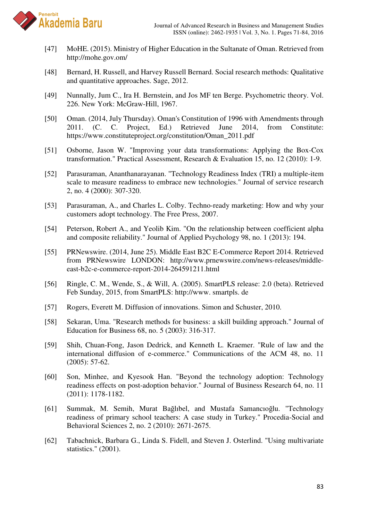

- [47] MoHE. (2015). Ministry of Higher Education in the Sultanate of Oman. Retrieved from http://mohe.gov.om/
- [48] Bernard, H. Russell, and Harvey Russell Bernard. Social research methods: Qualitative and quantitative approaches. Sage, 2012.
- [49] Nunnally, Jum C., Ira H. Bernstein, and Jos MF ten Berge. Psychometric theory. Vol. 226. New York: McGraw-Hill, 1967.
- [50] Oman. (2014, July Thursday). Oman's Constitution of 1996 with Amendments through 2011. (C. C. Project, Ed.) Retrieved June 2014, from Constitute: https://www.constituteproject.org/constitution/Oman\_2011.pdf
- [51] Osborne, Jason W. "Improving your data transformations: Applying the Box-Cox transformation." Practical Assessment, Research & Evaluation 15, no. 12 (2010): 1-9.
- [52] Parasuraman, Ananthanarayanan. "Technology Readiness Index (TRI) a multiple-item scale to measure readiness to embrace new technologies." Journal of service research 2, no. 4 (2000): 307-320.
- [53] Parasuraman, A., and Charles L. Colby. Techno-ready marketing: How and why your customers adopt technology. The Free Press, 2007.
- [54] Peterson, Robert A., and Yeolib Kim. "On the relationship between coefficient alpha and composite reliability." Journal of Applied Psychology 98, no. 1 (2013): 194.
- [55] PRNewswire. (2014, June 25). Middle East B2C E-Commerce Report 2014. Retrieved from PRNewswire LONDON: http://www.prnewswire.com/news-releases/middleeast-b2c-e-commerce-report-2014-264591211.html
- [56] Ringle, C. M., Wende, S., & Will, A. (2005). SmartPLS release: 2.0 (beta). Retrieved Feb Sunday, 2015, from SmartPLS: http://www. smartpls. de
- [57] Rogers, Everett M. Diffusion of innovations. Simon and Schuster, 2010.
- [58] Sekaran, Uma. "Research methods for business: a skill building approach." Journal of Education for Business 68, no. 5 (2003): 316-317.
- [59] Shih, Chuan-Fong, Jason Dedrick, and Kenneth L. Kraemer. "Rule of law and the international diffusion of e-commerce." Communications of the ACM 48, no. 11 (2005): 57-62.
- [60] Son, Minhee, and Kyesook Han. "Beyond the technology adoption: Technology readiness effects on post-adoption behavior." Journal of Business Research 64, no. 11 (2011): 1178-1182.
- [61] Summak, M. Semih, Murat Bağlıbel, and Mustafa Samancıoğlu. "Technology readiness of primary school teachers: A case study in Turkey." Procedia-Social and Behavioral Sciences 2, no. 2 (2010): 2671-2675.
- [62] Tabachnick, Barbara G., Linda S. Fidell, and Steven J. Osterlind. "Using multivariate statistics." (2001).